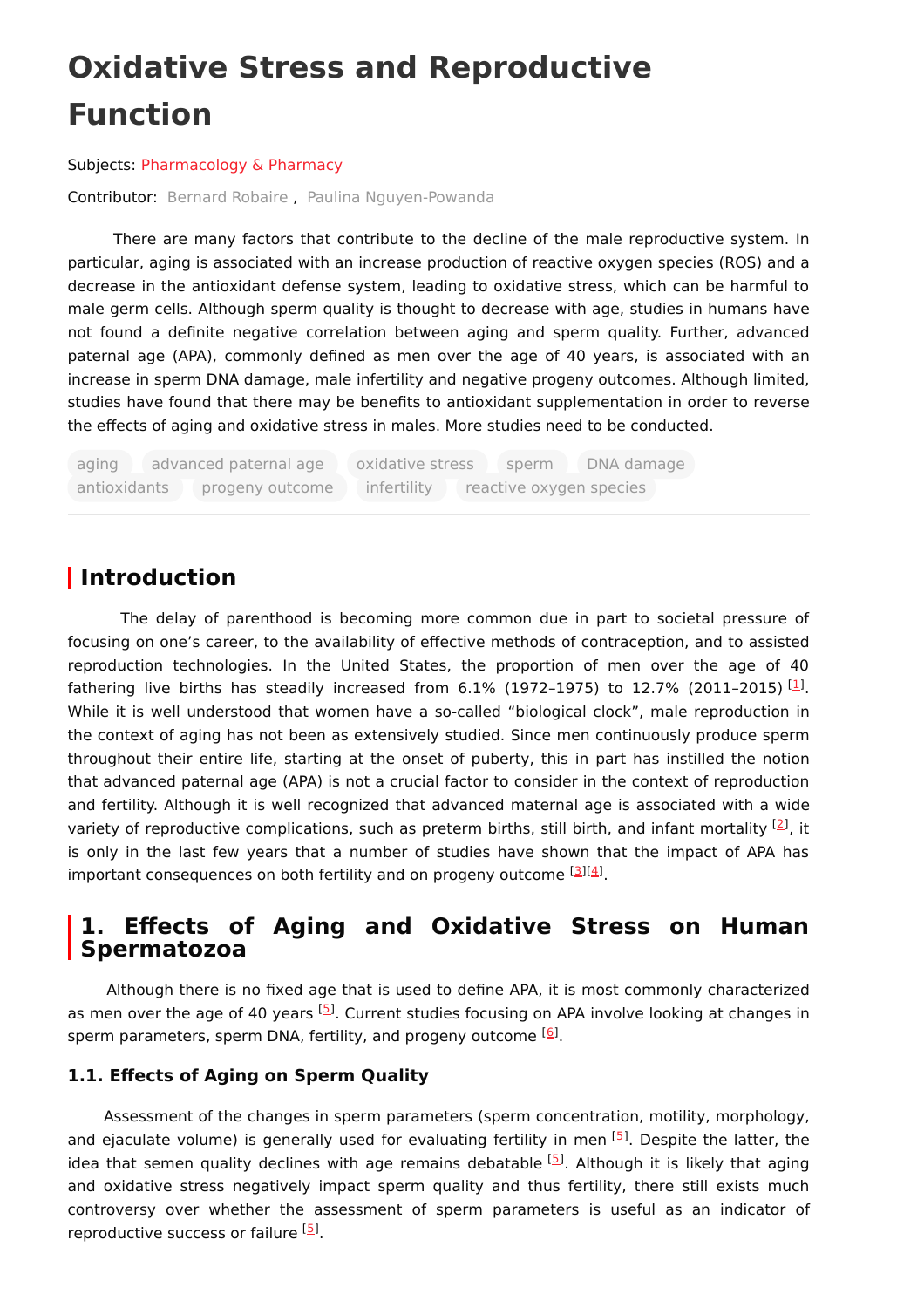# **Oxidative Stress and Reproductive Function**

Subjects: [Pharmacology](https://encyclopedia.pub/entry/subject/75) & Pharmacy

Contributor: [Bernard](https://sciprofiles.com/profile/646578) Robaire , Paulina [Nguyen-Powanda](https://sciprofiles.com/profile/1241168)

There are many factors that contribute to the decline of the male reproductive system. In particular, aging is associated with an increase production of reactive oxygen species (ROS) and a decrease in the antioxidant defense system, leading to oxidative stress, which can be harmful to male germ cells. Although sperm quality is thought to decrease with age, studies in humans have not found a definite negative correlation between aging and sperm quality. Further, advanced paternal age (APA), commonly defined as men over the age of 40 years, is associated with an increase in sperm DNA damage, male infertility and negative progeny outcomes. Although limited, studies have found that there may be benefits to antioxidant supplementation in order to reverse the effects of aging and oxidative stress in males. More studies need to be conducted.

aging advanced paternal age oxidative stress sperm DNA damage antioxidants progeny outcome infertility reactive oxygen species

## **Introduction**

The delay of parenthood is becoming more common due in part to societal pressure of focusing on one's career, to the availability of effective methods of contraception, and to assisted reproduction technologies. In the United States, the proportion of men over the age of 40 fathering live births has steadily increased from 6.1% (1972–1975) to 12.7% (2011–2015)  $^{[1]}$  $^{[1]}$  $^{[1]}$ . While it is well understood that women have a so-called "biological clock", male reproduction in the context of aging has not been as extensively studied. Since men continuously produce sperm throughout their entire life, starting at the onset of puberty, this in part has instilled the notion that advanced paternal age (APA) is not a crucial factor to consider in the context of reproduction and fertility. Although it is well recognized that advanced maternal age is associated with a wide variety of reproductive complications, such as preterm births, still birth, and infant mortality  $^{[2]}$  $^{[2]}$  $^{[2]}$ , it is only in the last few years that a number of studies have shown that the impact of APA has important consequences on both fertility and on progeny outcome [[3](#page-4-0)][\[4](#page-4-1)].

## **1. Effects of Aging and Oxidative Stress on Human Spermatozoa**

Although there is no fixed age that is used to define APA, it is most commonly characterized as men over the age of 40 years <sup>[[5](#page-4-2)]</sup>. Current studies focusing on APA involve looking at changes in sperm parameters, sperm DNA, fertility, and progeny outcome <sup>[[6](#page-4-3)]</sup>.

#### **1.1. Effects of Aging on Sperm Quality**

Assessment of the changes in sperm parameters (sperm concentration, motility, morphology, and ejaculate volume) is generally used for evaluating fertility in men [[5](#page-4-2)]. Despite the latter, the idea that semen quality declines with age remains debatable <sup>[[5](#page-4-2)]</sup>. Although it is likely that aging and oxidative stress negatively impact sperm quality and thus fertility, there still exists much controversy over whether the assessment of sperm parameters is useful as an indicator of reproductive success or failure <sup>[\[5](#page-4-2)]</sup>.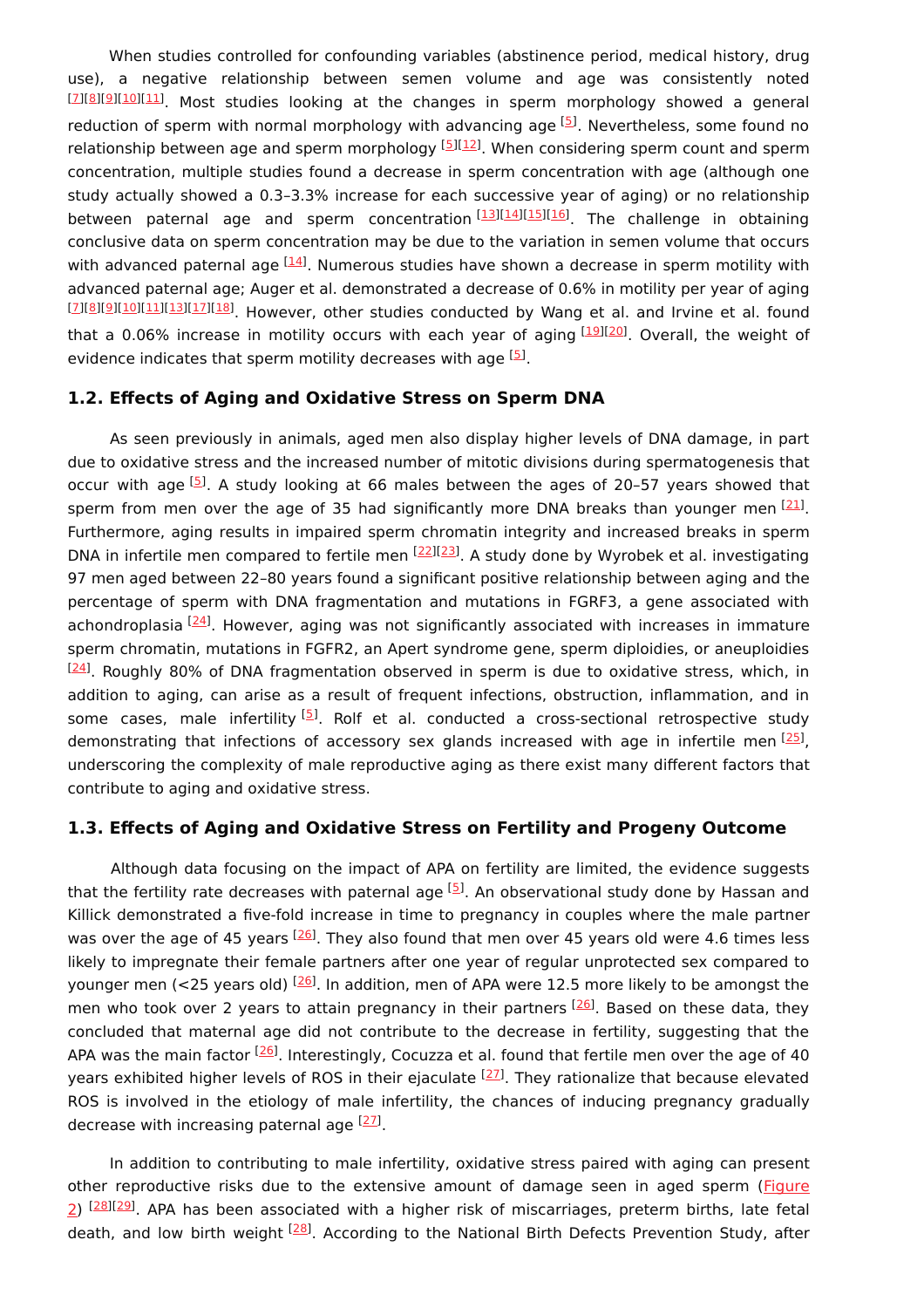When studies controlled for confounding variables (abstinence period, medical history, drug use), a negative relationship between semen volume and age was consistently noted [\[7](#page-4-4)][\[8](#page-4-5)][[9](#page-4-6)][[10\]](#page-4-7)[[11\]](#page-4-8). Most studies looking at the changes in sperm morphology showed a general reduction of sperm with normal morphology with advancing age [[5](#page-4-2)]. Nevertheless, some found no relationship between age and sperm morphology [\[5](#page-4-2)][[12\]](#page-4-9). When considering sperm count and sperm concentration, multiple studies found a decrease in sperm concentration with age (although one study actually showed a 0.3–3.3% increase for each successive year of aging) or no relationship between paternal age and sperm concentration<sup>[[13\]](#page-4-10)[[14\]](#page-4-11)[[15\]](#page-4-12)[[16\]](#page-4-13)</sup>. The challenge in obtaining conclusive data on sperm concentration may be due to the variation in semen volume that occurs with advanced paternal age <sup>[\[14](#page-4-11)]</sup>. Numerous studies have shown a decrease in sperm motility with advanced paternal age; Auger et al. demonstrated a decrease of 0.6% in motility per year of aging [\[7](#page-4-4)][\[8](#page-4-5)][[9](#page-4-6)][[10\]](#page-4-7)[[11\]](#page-4-8)[[13\]](#page-4-10)[[17\]](#page-4-14)[[18\]](#page-4-15). However, other studies conducted by Wang et al. and Irvine et al. found that a 0.06% increase in motility occurs with each year of aging [\[19](#page-4-16)][[20](#page-4-17)]. Overall, the weight of evidence indicates that sperm motility decreases with age [[5](#page-4-2)].

#### **1.2. Effects of Aging and Oxidative Stress on Sperm DNA**

As seen previously in animals, aged men also display higher levels of DNA damage, in part due to oxidative stress and the increased number of mitotic divisions during spermatogenesis that occur with age  $^{[5]}$  $^{[5]}$  $^{[5]}$ . A study looking at 66 males between the ages of 20-57 years showed that sperm from men over the age of 35 had significantly more DNA breaks than younger men  $^{[21]}$  $^{[21]}$  $^{[21]}$ . Furthermore, aging results in impaired sperm chromatin integrity and increased breaks in sperm DNA in infertile men compared to fertile men <sup>[\[22](#page-4-19)][[23](#page-5-0)]</sup>. A study done by Wyrobek et al. investigating 97 men aged between 22–80 years found a significant positive relationship between aging and the percentage of sperm with DNA fragmentation and mutations in FGRF3, a gene associated with achondroplasia <sup>[[24\]](#page-5-1)</sup>. However, aging was not significantly associated with increases in immature sperm chromatin, mutations in FGFR2, an Apert syndrome gene, sperm diploidies, or aneuploidies  $^{[24]}$  $^{[24]}$  $^{[24]}$ . Roughly 80% of DNA fragmentation observed in sperm is due to oxidative stress, which, in addition to aging, can arise as a result of frequent infections, obstruction, inflammation, and in some cases, male infertility<sup>[\[5](#page-4-2)]</sup>. Rolf et al. conducted a cross-sectional retrospective study demonstrating that infections of accessory sex glands increased with age in infertile men [\[25](#page-5-2)], underscoring the complexity of male reproductive aging as there exist many different factors that contribute to aging and oxidative stress.

#### **1.3. Effects of Aging and Oxidative Stress on Fertility and Progeny Outcome**

Although data focusing on the impact of APA on fertility are limited, the evidence suggests that the fertility rate decreases with paternal age [\[5](#page-4-2)]. An observational study done by Hassan and Killick demonstrated a five-fold increase in time to pregnancy in couples where the male partner was over the age of 45 years <sup>[\[26](#page-5-3)]</sup>. They also found that men over 45 years old were 4.6 times less likely to impregnate their female partners after one year of regular unprotected sex compared to younger men (<25 years old) <sup>[\[26](#page-5-3)]</sup>. In addition, men of APA were 12.5 more likely to be amongst the men who took over 2 years to attain pregnancy in their partners <sup>[\[26](#page-5-3)]</sup>. Based on these data, they concluded that maternal age did not contribute to the decrease in fertility, suggesting that the APA was the main factor <sup>[\[26](#page-5-3)]</sup>. Interestingly, Cocuzza et al. found that fertile men over the age of 40 years exhibited higher levels of ROS in their ejaculate <sup>[[27\]](#page-5-4)</sup>. They rationalize that because elevated ROS is involved in the etiology of male infertility, the chances of inducing pregnancy gradually decrease with increasing paternal age <sup>[\[27](#page-5-4)]</sup>.

In addition to contributing to male infertility, oxidative stress paired with aging can present other reproductive risks due to the extensive amount of damage seen in aged sperm (Figure 2) <sup>[28][29]</sup>. APA has been associated with a higher risk of [miscarriages,](https://www.mdpi.com/2079-7737/9/9/282/htm#fig_body_display_biology-09-00282-f002) preterm births, late fetal death, and low birth weight <sup>[\[28](#page-5-5)]</sup>. According to the National Birth Defects Prevention Study, after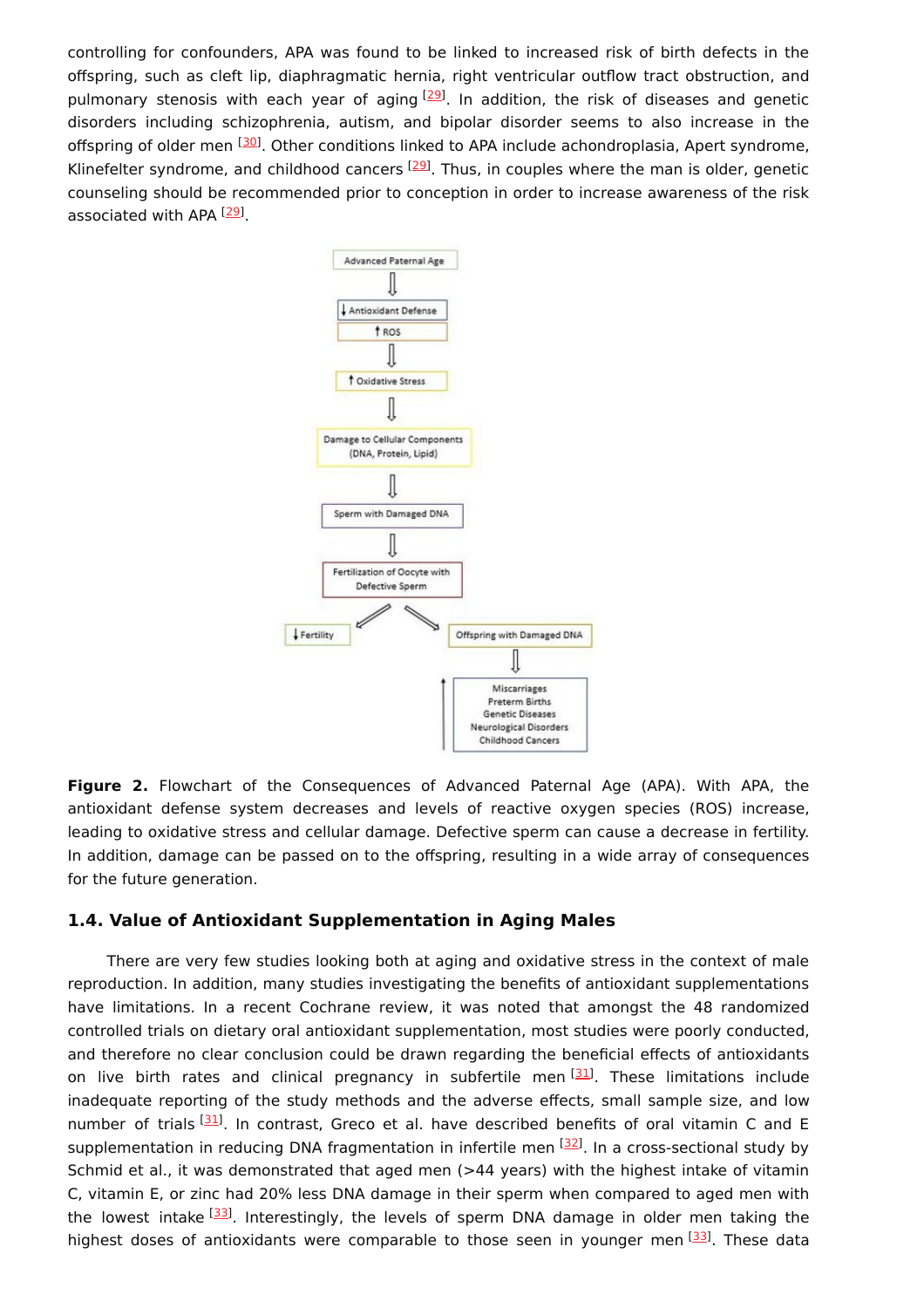controlling for confounders, APA was found to be linked to increased risk of birth defects in the offspring, such as cleft lip, diaphragmatic hernia, right ventricular outflow tract obstruction, and pulmonary stenosis with each year of aging <sup>[\[29](#page-5-6)]</sup>. In addition, the risk of diseases and genetic disorders including schizophrenia, autism, and bipolar disorder seems to also increase in the offspring of older men <a>[\[30](#page-5-7)]</a>. Other conditions linked to APA include achondroplasia, Apert syndrome, Klinefelter syndrome, and childhood cancers  $[29]$  $[29]$  $[29]$ . Thus, in couples where the man is older, genetic counseling should be recommended prior to conception in order to increase awareness of the risk associated with APA [[29](#page-5-6)].



**Figure 2.** Flowchart of the Consequences of Advanced Paternal Age (APA). With APA, the antioxidant defense system decreases and levels of reactive oxygen species (ROS) increase, leading to oxidative stress and cellular damage. Defective sperm can cause a decrease in fertility. In addition, damage can be passed on to the offspring, resulting in a wide array of consequences for the future generation.

#### **1.4. Value of Antioxidant Supplementation in Aging Males**

There are very few studies looking both at aging and oxidative stress in the context of male reproduction. In addition, many studies investigating the benefits of antioxidant supplementations have limitations. In a recent Cochrane review, it was noted that amongst the 48 randomized controlled trials on dietary oral antioxidant supplementation, most studies were poorly conducted, and therefore no clear conclusion could be drawn regarding the beneficial effects of antioxidants on live birth rates and clinical pregnancy in subfertile men<sup>[\[31\]](#page-5-8)</sup>. These limitations include inadequate reporting of the study methods and the adverse effects, small sample size, and low number of trials [\[31](#page-5-8)]. In contrast, Greco et al. have described benefits of oral vitamin C and E supplementation in reducing DNA fragmentation in infertile men <sup>[\[32](#page-5-9)]</sup>. In a cross-sectional study by Schmid et al., it was demonstrated that aged men (>44 years) with the highest intake of vitamin C, vitamin E, or zinc had 20% less DNA damage in their sperm when compared to aged men with the lowest intake [\[33](#page-5-10)]. Interestingly, the levels of sperm DNA damage in older men taking the highest doses of antioxidants were comparable to those seen in younger men [\[33](#page-5-10)]. These data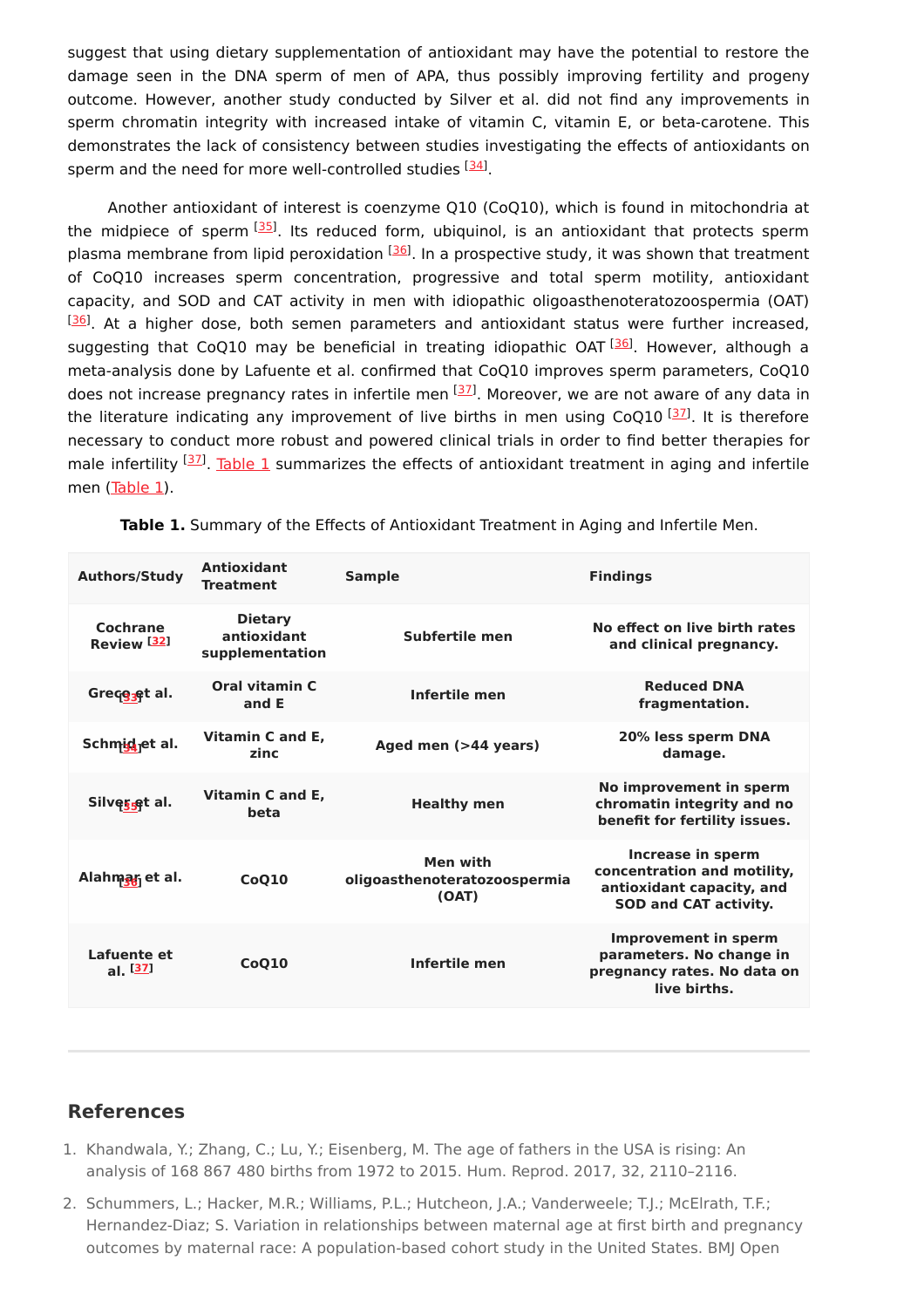suggest that using dietary supplementation of antioxidant may have the potential to restore the damage seen in the DNA sperm of men of APA, thus possibly improving fertility and progeny outcome. However, another study conducted by Silver et al. did not find any improvements in sperm chromatin integrity with increased intake of vitamin C, vitamin E, or beta-carotene. This demonstrates the lack of consistency between studies investigating the effects of antioxidants on sperm and the need for more well-controlled studies <sup>[[34](#page-5-11)]</sup>.

Another antioxidant of interest is coenzyme Q10 (CoQ10), which is found in mitochondria at the midpiece of sperm  $^{[35]}$  $^{[35]}$  $^{[35]}$ . Its reduced form, ubiquinol, is an antioxidant that protects sperm plasma membrane from lipid peroxidation <sup>[[36\]](#page-5-13)</sup>. In a prospective study, it was shown that treatment of CoQ10 increases sperm concentration, progressive and total sperm motility, antioxidant capacity, and SOD and CAT activity in men with idiopathic oligoasthenoteratozoospermia (OAT)  $\frac{[36]}{2}$  $\frac{[36]}{2}$  $\frac{[36]}{2}$ . At a higher dose, both semen parameters and antioxidant status were further increased, suggesting that CoQ10 may be beneficial in treating idiopathic OAT <sup>[\[36](#page-5-13)]</sup>. However, although a meta-analysis done by Lafuente et al. confirmed that CoQ10 improves sperm parameters, CoQ10 does not increase pregnancy rates in infertile men [[37\]](#page-5-14). Moreover, we are not aware of any data in the literature indicating any improvement of live births in men using CoQ10  $^{[37]}$  $^{[37]}$  $^{[37]}$ . It is therefore necessary to conduct more robust and powered clinical trials in order to find better therapies for male infertility <sup>[37]</sup>. [Table](https://www.mdpi.com/2079-7737/9/9/282/htm#table_body_display_biology-09-00282-t001) 1 summarizes the effects of antioxidant treatment in aging and infertile men [\(Table](https://www.mdpi.com/2079-7737/9/9/282/htm#table_body_display_biology-09-00282-t001) 1).

| <b>Authors/Study</b>               | <b>Antioxidant</b><br><b>Treatment</b>           | <b>Sample</b>                                     | <b>Findings</b>                                                                                               |
|------------------------------------|--------------------------------------------------|---------------------------------------------------|---------------------------------------------------------------------------------------------------------------|
| Cochrane<br>Review <sup>[32]</sup> | <b>Dietary</b><br>antioxidant<br>supplementation | Subfertile men                                    | No effect on live birth rates<br>and clinical pregnancy.                                                      |
| Grece <sub>set</sub> al.           | Oral vitamin C<br>and E                          | Infertile men                                     | <b>Reduced DNA</b><br>fragmentation.                                                                          |
| Schmid <sub>j</sub> et al.         | Vitamin C and E.<br>zinc                         | Aged men (>44 years)                              | 20% less sperm DNA<br>damage.                                                                                 |
| Silves et al.                      | Vitamin C and E,<br>beta                         | <b>Healthy men</b>                                | No improvement in sperm<br>chromatin integrity and no<br>benefit for fertility issues.                        |
| Alahmar <sub>i</sub> et al.        | CoQ10                                            | Men with<br>oligoasthenoteratozoospermia<br>(OAT) | Increase in sperm<br>concentration and motility,<br>antioxidant capacity, and<br><b>SOD and CAT activity.</b> |
| Lafuente et<br>al. $[37]$          | CoQ10                                            | Infertile men                                     | <b>Improvement in sperm</b><br>parameters. No change in<br>pregnancy rates. No data on<br>live births.        |

**Table 1.** Summary of the Effects of Antioxidant Treatment in Aging and Infertile Men.

### **References**

- <span id="page-3-0"></span>1. Khandwala, Y.; Zhang, C.; Lu, Y.; Eisenberg, M. The age of fathers in the USA is rising: An analysis of 168 867 480 births from 1972 to 2015. Hum. Reprod. 2017, 32, 2110–2116.
- <span id="page-3-1"></span>2. Schummers, L.; Hacker, M.R.; Williams, P.L.; Hutcheon, J.A.; Vanderweele; T.J.; McElrath, T.F.; Hernandez-Diaz; S. Variation in relationships between maternal age at first birth and pregnancy outcomes by maternal race: A population-based cohort study in the United States. BMJ Open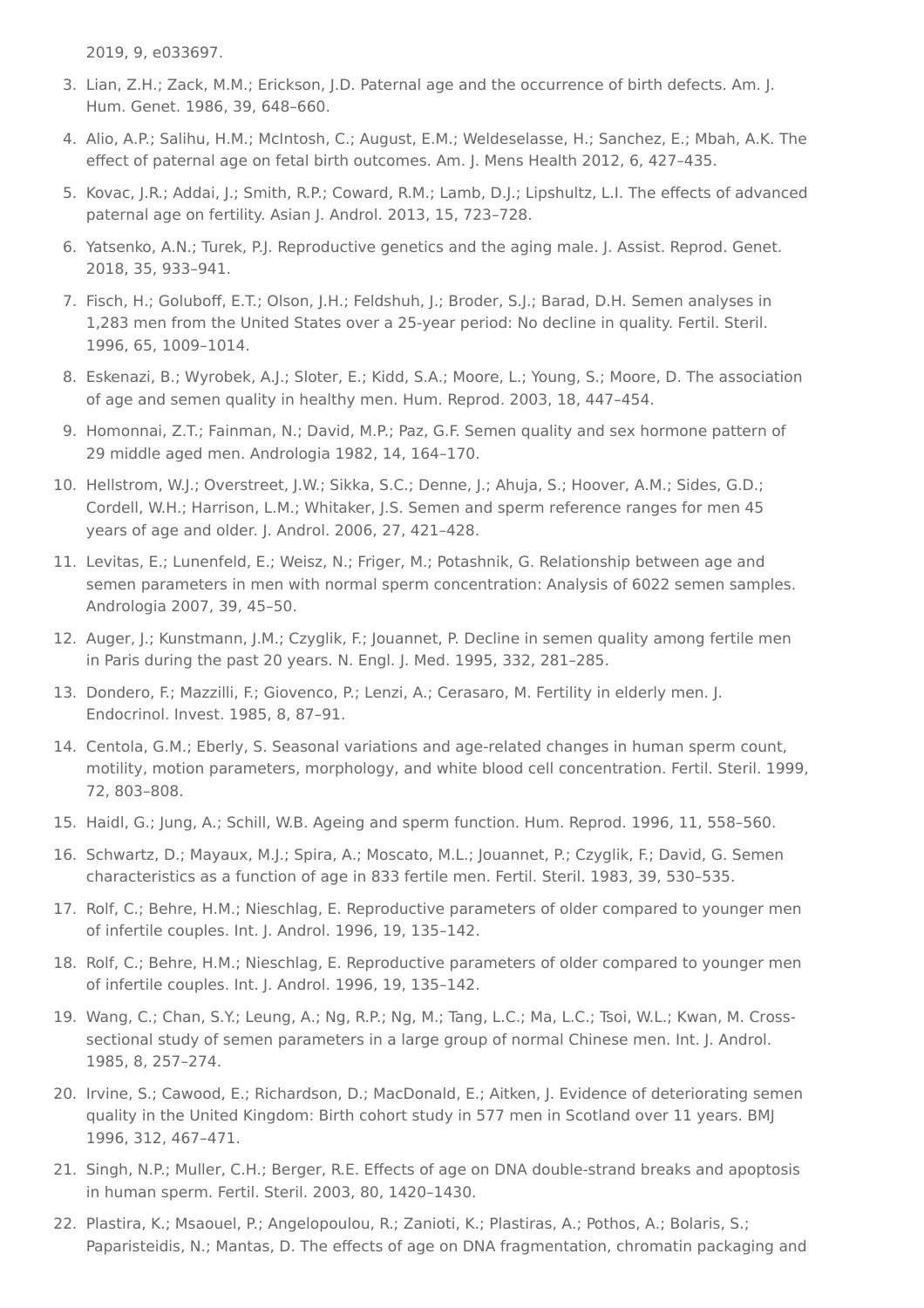2019, 9, e033697.

- <span id="page-4-0"></span>3. Lian, Z.H.; Zack, M.M.; Erickson, J.D. Paternal age and the occurrence of birth defects. Am. J. Hum. Genet. 1986, 39, 648–660.
- <span id="page-4-1"></span>4. Alio, A.P.; Salihu, H.M.; McIntosh, C.; August, E.M.; Weldeselasse, H.; Sanchez, E.; Mbah, A.K. The effect of paternal age on fetal birth outcomes. Am. J. Mens Health 2012, 6, 427–435.
- <span id="page-4-2"></span>5. Kovac, J.R.; Addai, J.; Smith, R.P.; Coward, R.M.; Lamb, D.J.; Lipshultz, L.I. The effects of advanced paternal age on fertility. Asian J. Androl. 2013, 15, 723–728.
- <span id="page-4-3"></span>6. Yatsenko, A.N.; Turek, P.J. Reproductive genetics and the aging male. J. Assist. Reprod. Genet. 2018, 35, 933–941.
- <span id="page-4-4"></span>7. Fisch, H.; Goluboff, E.T.; Olson, J.H.; Feldshuh, J.; Broder, S.J.; Barad, D.H. Semen analyses in 1,283 men from the United States over a 25-year period: No decline in quality. Fertil. Steril. 1996, 65, 1009–1014.
- <span id="page-4-5"></span>8. Eskenazi, B.; Wyrobek, A.J.; Sloter, E.; Kidd, S.A.; Moore, L.; Young, S.; Moore, D. The association of age and semen quality in healthy men. Hum. Reprod. 2003, 18, 447–454.
- <span id="page-4-6"></span>9. Homonnai, Z.T.; Fainman, N.; David, M.P.; Paz, G.F. Semen quality and sex hormone pattern of 29 middle aged men. Andrologia 1982, 14, 164–170.
- <span id="page-4-7"></span>10. Hellstrom, W.J.; Overstreet, J.W.; Sikka, S.C.; Denne, J.; Ahuja, S.; Hoover, A.M.; Sides, G.D.; Cordell, W.H.; Harrison, L.M.; Whitaker, J.S. Semen and sperm reference ranges for men 45 years of age and older. J. Androl. 2006, 27, 421–428.
- <span id="page-4-8"></span>11. Levitas, E.; Lunenfeld, E.; Weisz, N.; Friger, M.; Potashnik, G. Relationship between age and semen parameters in men with normal sperm concentration: Analysis of 6022 semen samples. Andrologia 2007, 39, 45–50.
- <span id="page-4-9"></span>12. Auger, J.; Kunstmann, J.M.; Czyglik, F.; Jouannet, P. Decline in semen quality among fertile men in Paris during the past 20 years. N. Engl. J. Med. 1995, 332, 281–285.
- <span id="page-4-10"></span>13. Dondero, F.; Mazzilli, F.; Giovenco, P.; Lenzi, A.; Cerasaro, M. Fertility in elderly men. J. Endocrinol. Invest. 1985, 8, 87–91.
- <span id="page-4-11"></span>14. Centola, G.M.; Eberly, S. Seasonal variations and age-related changes in human sperm count, motility, motion parameters, morphology, and white blood cell concentration. Fertil. Steril. 1999, 72, 803–808.
- <span id="page-4-12"></span>15. Haidl, G.; Jung, A.; Schill, W.B. Ageing and sperm function. Hum. Reprod. 1996, 11, 558–560.
- <span id="page-4-13"></span>16. Schwartz, D.; Mayaux, M.J.; Spira, A.; Moscato, M.L.; Jouannet, P.; Czyglik, F.; David, G. Semen characteristics as a function of age in 833 fertile men. Fertil. Steril. 1983, 39, 530–535.
- <span id="page-4-14"></span>17. Rolf, C.; Behre, H.M.; Nieschlag, E. Reproductive parameters of older compared to younger men of infertile couples. Int. J. Androl. 1996, 19, 135–142.
- <span id="page-4-15"></span>18. Rolf, C.; Behre, H.M.; Nieschlag, E. Reproductive parameters of older compared to younger men of infertile couples. Int. J. Androl. 1996, 19, 135–142.
- <span id="page-4-16"></span>19. Wang, C.; Chan, S.Y.; Leung, A.; Ng, R.P.; Ng, M.; Tang, L.C.; Ma, L.C.; Tsoi, W.L.; Kwan, M. Crosssectional study of semen parameters in a large group of normal Chinese men. Int. J. Androl. 1985, 8, 257–274.
- <span id="page-4-17"></span>20. Irvine, S.; Cawood, E.; Richardson, D.; MacDonald, E.; Aitken, J. Evidence of deteriorating semen quality in the United Kingdom: Birth cohort study in 577 men in Scotland over 11 years. BMJ 1996, 312, 467–471.
- <span id="page-4-18"></span>21. Singh, N.P.; Muller, C.H.; Berger, R.E. Effects of age on DNA double-strand breaks and apoptosis in human sperm. Fertil. Steril. 2003, 80, 1420–1430.
- <span id="page-4-19"></span>22. Plastira, K.; Msaouel, P.; Angelopoulou, R.; Zanioti, K.; Plastiras, A.; Pothos, A.; Bolaris, S.; Paparisteidis, N.; Mantas, D. The effects of age on DNA fragmentation, chromatin packaging and